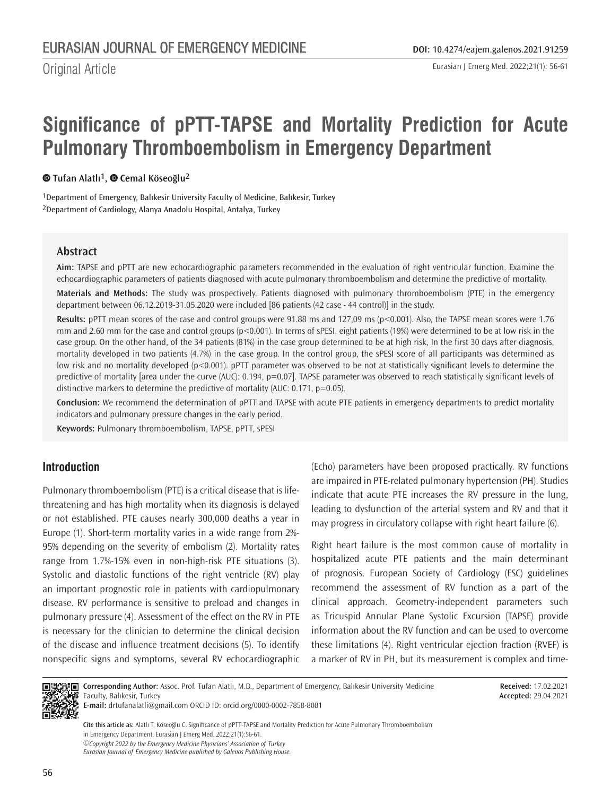Eurasian J Emerg Med. 2022;21(1): 56-61

# **Significance of pPTT-TAPSE and Mortality Prediction for Acute Pulmonary Thromboembolism in Emergency Department**

#### **Tufan Alatlı1,Cemal Köseoğlu2**

1Department of Emergency, Balıkesir University Faculty of Medicine, Balıkesir, Turkey 2Department of Cardiology, Alanya Anadolu Hospital, Antalya, Turkey

#### **Abstract**

**Aim:** TAPSE and pPTT are new echocardiographic parameters recommended in the evaluation of right ventricular function. Examine the echocardiographic parameters of patients diagnosed with acute pulmonary thromboembolism and determine the predictive of mortality.

**Materials and Methods:** The study was prospectively. Patients diagnosed with pulmonary thromboembolism (PTE) in the emergency department between 06.12.2019-31.05.2020 were included [86 patients (42 case - 44 control)] in the study.

**Results:** pPTT mean scores of the case and control groups were 91.88 ms and 127,09 ms (p<0.001). Also, the TAPSE mean scores were 1.76 mm and 2.60 mm for the case and control groups (p<0.001). In terms of sPESI, eight patients (19%) were determined to be at low risk in the case group. On the other hand, of the 34 patients (81%) in the case group determined to be at high risk, In the first 30 days after diagnosis, mortality developed in two patients (4.7%) in the case group. In the control group, the sPESI score of all participants was determined as low risk and no mortality developed (p<0.001). pPTT parameter was observed to be not at statistically significant levels to determine the predictive of mortality [area under the curve (AUC): 0.194, p=0.07]. TAPSE parameter was observed to reach statistically significant levels of distinctive markers to determine the predictive of mortality (AUC: 0.171, p=0.05).

**Conclusion:** We recommend the determination of pPTT and TAPSE with acute PTE patients in emergency departments to predict mortality indicators and pulmonary pressure changes in the early period.

**Keywords:** Pulmonary thromboembolism, TAPSE, pPTT, sPESI

# **Introduction**

Pulmonary thromboembolism (PTE) is a critical disease that is lifethreatening and has high mortality when its diagnosis is delayed or not established. PTE causes nearly 300,000 deaths a year in Europe (1). Short-term mortality varies in a wide range from 2%- 95% depending on the severity of embolism (2). Mortality rates range from 1.7%-15% even in non-high-risk PTE situations (3). Systolic and diastolic functions of the right ventricle (RV) play an important prognostic role in patients with cardiopulmonary disease. RV performance is sensitive to preload and changes in pulmonary pressure (4). Assessment of the effect on the RV in PTE is necessary for the clinician to determine the clinical decision of the disease and influence treatment decisions (5). To identify nonspecific signs and symptoms, several RV echocardiographic (Echo) parameters have been proposed practically. RV functions are impaired in PTE-related pulmonary hypertension (PH). Studies indicate that acute PTE increases the RV pressure in the lung, leading to dysfunction of the arterial system and RV and that it may progress in circulatory collapse with right heart failure (6).

Right heart failure is the most common cause of mortality in hospitalized acute PTE patients and the main determinant of prognosis. European Society of Cardiology (ESC) guidelines recommend the assessment of RV function as a part of the clinical approach. Geometry-independent parameters such as Tricuspid Annular Plane Systolic Excursion (TAPSE) provide information about the RV function and can be used to overcome these limitations (4). Right ventricular ejection fraction (RVEF) is a marker of RV in PH, but its measurement is complex and time-



**Corresponding Author:** Assoc. Prof. Tufan Alatlı, M.D., Department of Emergency, Balıkesir University Medicine Faculty, Balıkesir, Turkey

**Received:** 17.02.2021 **Accepted:** 29.04.2021

*©Copyright 2022 by the Emergency Medicine Physicians' Association of Turkey Eurasian Journal of Emergency Medicine published by Galenos Publishing House.* **Cite this article as:** Alatlı T, Köseoğlu C. Significance of pPTT-TAPSE and Mortality Prediction for Acute Pulmonary Thromboembolism in Emergency Department. Eurasian J Emerg Med. 2022;21(1):56-61.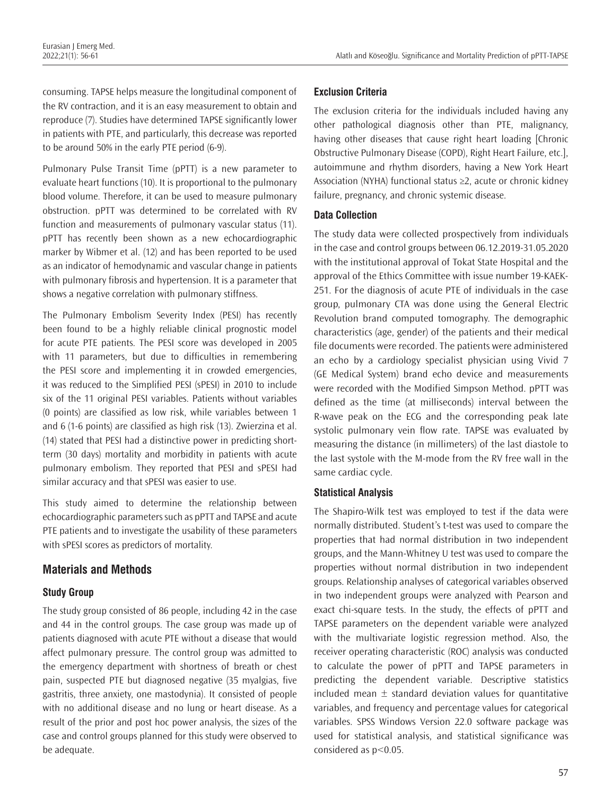consuming. TAPSE helps measure the longitudinal component of the RV contraction, and it is an easy measurement to obtain and reproduce (7). Studies have determined TAPSE significantly lower in patients with PTE, and particularly, this decrease was reported to be around 50% in the early PTE period (6-9).

Pulmonary Pulse Transit Time (pPTT) is a new parameter to evaluate heart functions (10). It is proportional to the pulmonary blood volume. Therefore, it can be used to measure pulmonary obstruction. pPTT was determined to be correlated with RV function and measurements of pulmonary vascular status (11). pPTT has recently been shown as a new echocardiographic marker by Wibmer et al. (12) and has been reported to be used as an indicator of hemodynamic and vascular change in patients with pulmonary fibrosis and hypertension. It is a parameter that shows a negative correlation with pulmonary stiffness.

The Pulmonary Embolism Severity Index (PESI) has recently been found to be a highly reliable clinical prognostic model for acute PTE patients. The PESI score was developed in 2005 with 11 parameters, but due to difficulties in remembering the PESI score and implementing it in crowded emergencies, it was reduced to the Simplified PESI (sPESI) in 2010 to include six of the 11 original PESI variables. Patients without variables (0 points) are classified as low risk, while variables between 1 and 6 (1-6 points) are classified as high risk (13). Zwierzina et al. (14) stated that PESI had a distinctive power in predicting shortterm (30 days) mortality and morbidity in patients with acute pulmonary embolism. They reported that PESI and sPESI had similar accuracy and that sPESI was easier to use.

This study aimed to determine the relationship between echocardiographic parameters such as pPTT and TAPSE and acute PTE patients and to investigate the usability of these parameters with sPESI scores as predictors of mortality.

# **Materials and Methods**

#### **Study Group**

The study group consisted of 86 people, including 42 in the case and 44 in the control groups. The case group was made up of patients diagnosed with acute PTE without a disease that would affect pulmonary pressure. The control group was admitted to the emergency department with shortness of breath or chest pain, suspected PTE but diagnosed negative (35 myalgias, five gastritis, three anxiety, one mastodynia). It consisted of people with no additional disease and no lung or heart disease. As a result of the prior and post hoc power analysis, the sizes of the case and control groups planned for this study were observed to be adequate.

#### **Exclusion Criteria**

The exclusion criteria for the individuals included having any other pathological diagnosis other than PTE, malignancy, having other diseases that cause right heart loading [Chronic Obstructive Pulmonary Disease (COPD), Right Heart Failure, etc.], autoimmune and rhythm disorders, having a New York Heart Association (NYHA) functional status ≥2, acute or chronic kidney failure, pregnancy, and chronic systemic disease.

#### **Data Collection**

The study data were collected prospectively from individuals in the case and control groups between 06.12.2019-31.05.2020 with the institutional approval of Tokat State Hospital and the approval of the Ethics Committee with issue number 19-KAEK-251. For the diagnosis of acute PTE of individuals in the case group, pulmonary CTA was done using the General Electric Revolution brand computed tomography. The demographic characteristics (age, gender) of the patients and their medical file documents were recorded. The patients were administered an echo by a cardiology specialist physician using Vivid 7 (GE Medical System) brand echo device and measurements were recorded with the Modified Simpson Method. pPTT was defined as the time (at milliseconds) interval between the R-wave peak on the ECG and the corresponding peak late systolic pulmonary vein flow rate. TAPSE was evaluated by measuring the distance (in millimeters) of the last diastole to the last systole with the M-mode from the RV free wall in the same cardiac cycle.

#### **Statistical Analysis**

The Shapiro-Wilk test was employed to test if the data were normally distributed. Student's t-test was used to compare the properties that had normal distribution in two independent groups, and the Mann-Whitney U test was used to compare the properties without normal distribution in two independent groups. Relationship analyses of categorical variables observed in two independent groups were analyzed with Pearson and exact chi-square tests. In the study, the effects of pPTT and TAPSE parameters on the dependent variable were analyzed with the multivariate logistic regression method. Also, the receiver operating characteristic (ROC) analysis was conducted to calculate the power of pPTT and TAPSE parameters in predicting the dependent variable. Descriptive statistics included mean  $\pm$  standard deviation values for quantitative variables, and frequency and percentage values for categorical variables. SPSS Windows Version 22.0 software package was used for statistical analysis, and statistical significance was considered as p<0.05.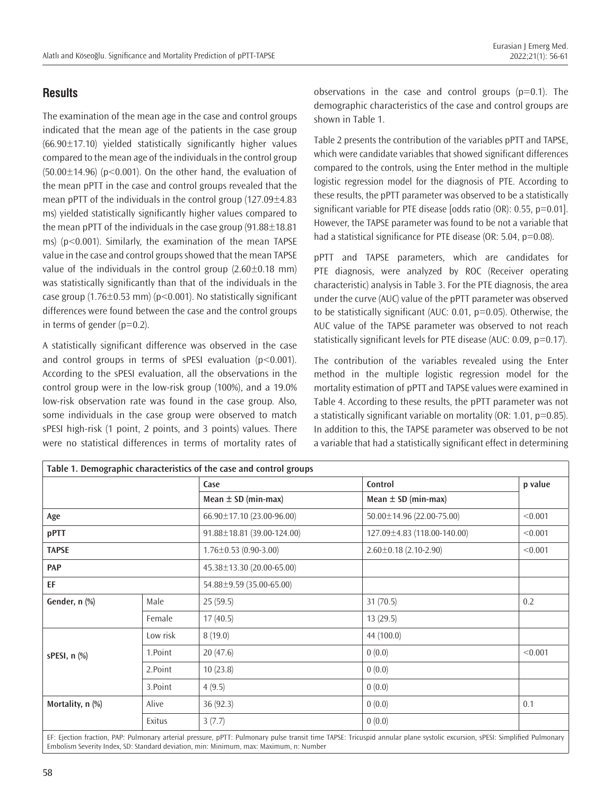The examination of the mean age in the case and control groups indicated that the mean age of the patients in the case group  $(66.90 \pm 17.10)$  yielded statistically significantly higher values compared to the mean age of the individuals in the control group  $(50.00\pm14.96)$  (p<0.001). On the other hand, the evaluation of the mean pPTT in the case and control groups revealed that the mean pPTT of the individuals in the control group (127.09±4.83 ms) yielded statistically significantly higher values compared to the mean pPTT of the individuals in the case group  $(91.88 \pm 18.81)$ ms) (p<0.001). Similarly, the examination of the mean TAPSE value in the case and control groups showed that the mean TAPSE value of the individuals in the control group  $(2.60\pm0.18 \text{ mm})$ was statistically significantly than that of the individuals in the case group  $(1.76\pm0.53 \text{ mm})$  (p<0.001). No statistically significant differences were found between the case and the control groups in terms of gender  $(p=0.2)$ .

A statistically significant difference was observed in the case and control groups in terms of sPESI evaluation  $(p<0.001)$ . According to the sPESI evaluation, all the observations in the control group were in the low-risk group (100%), and a 19.0% low-risk observation rate was found in the case group. Also, some individuals in the case group were observed to match sPESI high-risk (1 point, 2 points, and 3 points) values. There were no statistical differences in terms of mortality rates of

observations in the case and control groups  $(p=0.1)$ . The demographic characteristics of the case and control groups are shown in Table 1.

Table 2 presents the contribution of the variables pPTT and TAPSE, which were candidate variables that showed significant differences compared to the controls, using the Enter method in the multiple logistic regression model for the diagnosis of PTE. According to these results, the pPTT parameter was observed to be a statistically significant variable for PTE disease [odds ratio (OR): 0.55, p=0.01]. However, the TAPSE parameter was found to be not a variable that had a statistical significance for PTE disease (OR: 5.04, p=0.08).

pPTT and TAPSE parameters, which are candidates for PTE diagnosis, were analyzed by ROC (Receiver operating characteristic) analysis in Table 3. For the PTE diagnosis, the area under the curve (AUC) value of the pPTT parameter was observed to be statistically significant (AUC: 0.01, p=0.05). Otherwise, the AUC value of the TAPSE parameter was observed to not reach statistically significant levels for PTE disease (AUC: 0.09, p=0.17).

The contribution of the variables revealed using the Enter method in the multiple logistic regression model for the mortality estimation of pPTT and TAPSE values were examined in Table 4. According to these results, the pPTT parameter was not a statistically significant variable on mortality (OR: 1.01, p=0.85). In addition to this, the TAPSE parameter was observed to be not a variable that had a statistically significant effect in determining

|                    |          | Case                        | Control                     | p value |
|--------------------|----------|-----------------------------|-----------------------------|---------|
|                    |          | Mean $\pm$ SD (min-max)     | Mean $\pm$ SD (min-max)     |         |
| Age                |          | 66.90±17.10 (23.00-96.00)   | 50.00±14.96 (22.00-75.00)   | < 0.001 |
| pPTT               |          | 91.88±18.81 (39.00-124.00)  | 127.09±4.83 (118.00-140.00) | < 0.001 |
| <b>TAPSE</b>       |          | $1.76 \pm 0.53$ (0.90-3.00) | $2.60 \pm 0.18$ (2.10-2.90) | < 0.001 |
| <b>PAP</b>         |          | 45.38±13.30 (20.00-65.00)   |                             |         |
| EF                 |          | 54.88±9.59 (35.00-65.00)    |                             |         |
| Gender, n (%)      | Male     | 25(59.5)                    | 31(70.5)                    | 0.2     |
|                    | Female   | 17(40.5)                    | 13(29.5)                    |         |
| sPESI, $n$ $%$     | Low risk | 8(19.0)                     | 44 (100.0)                  |         |
|                    | 1.Point  | 20(47.6)                    | 0(0.0)                      | < 0.001 |
|                    | 2.Point  | 10(23.8)                    | 0(0.0)                      |         |
|                    | 3.Point  | 4(9.5)                      | 0(0.0)                      |         |
| Mortality, $n$ $%$ | Alive    | 36 (92.3)                   | 0(0.0)                      | 0.1     |
|                    | Exitus   | 3(7.7)                      | 0(0.0)                      |         |

Embolism Severity Index, SD: Standard deviation, min: Minimum, max: Maximum, n: Number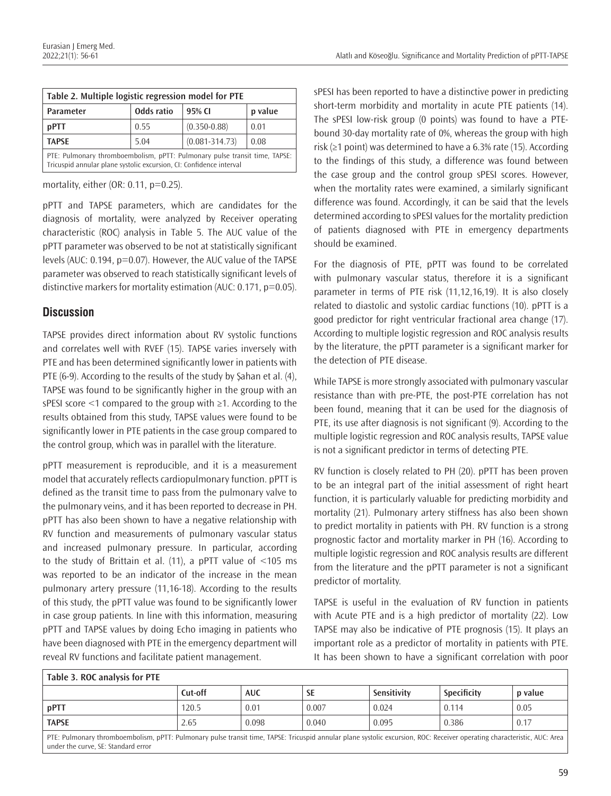| Table 2. Multiple logistic regression model for PTE                                                                                               |            |                    |         |  |
|---------------------------------------------------------------------------------------------------------------------------------------------------|------------|--------------------|---------|--|
| Parameter                                                                                                                                         | Odds ratio | 95% CI             | p value |  |
| pPTT                                                                                                                                              | 0.55       | $(0.350 - 0.88)$   | 0.01    |  |
| <b>TAPSE</b>                                                                                                                                      | 5.04       | $(0.081 - 314.73)$ | 0.08    |  |
| PTE: Pulmonary thromboembolism, pPTT: Pulmonary pulse transit time, TAPSE:<br>Tricuspid annular plane systolic excursion, CI: Confidence interval |            |                    |         |  |

mortality, either (OR:  $0.11$ ,  $p=0.25$ ).

pPTT and TAPSE parameters, which are candidates for the diagnosis of mortality, were analyzed by Receiver operating characteristic (ROC) analysis in Table 5. The AUC value of the pPTT parameter was observed to be not at statistically significant levels (AUC: 0.194, p=0.07). However, the AUC value of the TAPSE parameter was observed to reach statistically significant levels of distinctive markers for mortality estimation (AUC: 0.171, p=0.05).

# **Discussion**

TAPSE provides direct information about RV systolic functions and correlates well with RVEF (15). TAPSE varies inversely with PTE and has been determined significantly lower in patients with PTE (6-9). According to the results of the study by Şahan et al. (4), TAPSE was found to be significantly higher in the group with an sPESI score <1 compared to the group with ≥1. According to the results obtained from this study, TAPSE values were found to be significantly lower in PTE patients in the case group compared to the control group, which was in parallel with the literature.

pPTT measurement is reproducible, and it is a measurement model that accurately reflects cardiopulmonary function. pPTT is defined as the transit time to pass from the pulmonary valve to the pulmonary veins, and it has been reported to decrease in PH. pPTT has also been shown to have a negative relationship with RV function and measurements of pulmonary vascular status and increased pulmonary pressure. In particular, according to the study of Brittain et al. (11), a pPTT value of <105 ms was reported to be an indicator of the increase in the mean pulmonary artery pressure (11,16-18). According to the results of this study, the pPTT value was found to be significantly lower in case group patients. In line with this information, measuring pPTT and TAPSE values by doing Echo imaging in patients who have been diagnosed with PTE in the emergency department will reveal RV functions and facilitate patient management.

sPESI has been reported to have a distinctive power in predicting short-term morbidity and mortality in acute PTE patients (14). The sPESI low-risk group (0 points) was found to have a PTEbound 30-day mortality rate of 0%, whereas the group with high risk (≥1 point) was determined to have a 6.3% rate (15). According to the findings of this study, a difference was found between the case group and the control group sPESI scores. However, when the mortality rates were examined, a similarly significant difference was found. Accordingly, it can be said that the levels determined according to sPESI values for the mortality prediction of patients diagnosed with PTE in emergency departments should be examined.

For the diagnosis of PTE, pPTT was found to be correlated with pulmonary vascular status, therefore it is a significant parameter in terms of PTE risk (11,12,16,19). It is also closely related to diastolic and systolic cardiac functions (10). pPTT is a good predictor for right ventricular fractional area change (17). According to multiple logistic regression and ROC analysis results by the literature, the pPTT parameter is a significant marker for the detection of PTE disease.

While TAPSE is more strongly associated with pulmonary vascular resistance than with pre-PTE, the post-PTE correlation has not been found, meaning that it can be used for the diagnosis of PTE, its use after diagnosis is not significant (9). According to the multiple logistic regression and ROC analysis results, TAPSE value is not a significant predictor in terms of detecting PTE.

RV function is closely related to PH (20). pPTT has been proven to be an integral part of the initial assessment of right heart function, it is particularly valuable for predicting morbidity and mortality (21). Pulmonary artery stiffness has also been shown to predict mortality in patients with PH. RV function is a strong prognostic factor and mortality marker in PH (16). According to multiple logistic regression and ROC analysis results are different from the literature and the pPTT parameter is not a significant predictor of mortality.

TAPSE is useful in the evaluation of RV function in patients with Acute PTE and is a high predictor of mortality (22). Low TAPSE may also be indicative of PTE prognosis (15). It plays an important role as a predictor of mortality in patients with PTE. It has been shown to have a significant correlation with poor

| Table 3. ROC analysis for PTE                                                                                                                                                                                   |         |            |           |             |             |         |
|-----------------------------------------------------------------------------------------------------------------------------------------------------------------------------------------------------------------|---------|------------|-----------|-------------|-------------|---------|
|                                                                                                                                                                                                                 | Cut-off | <b>AUC</b> | <b>SE</b> | Sensitivity | Specificity | p value |
| pPTT                                                                                                                                                                                                            | 120.5   | 0.01       | 0.007     | 0.024       | 0.114       | 0.05    |
| <b>TAPSE</b>                                                                                                                                                                                                    | 2.65    | 0.098      | 0.040     | 0.095       | 0.386       | 0.17    |
| PTE: Pulmonary thromboembolism, pPTT: Pulmonary pulse transit time, TAPSE: Tricuspid annular plane systolic excursion, ROC: Receiver operating characteristic, AUC: Area<br>under the curve. SE: Standard error |         |            |           |             |             |         |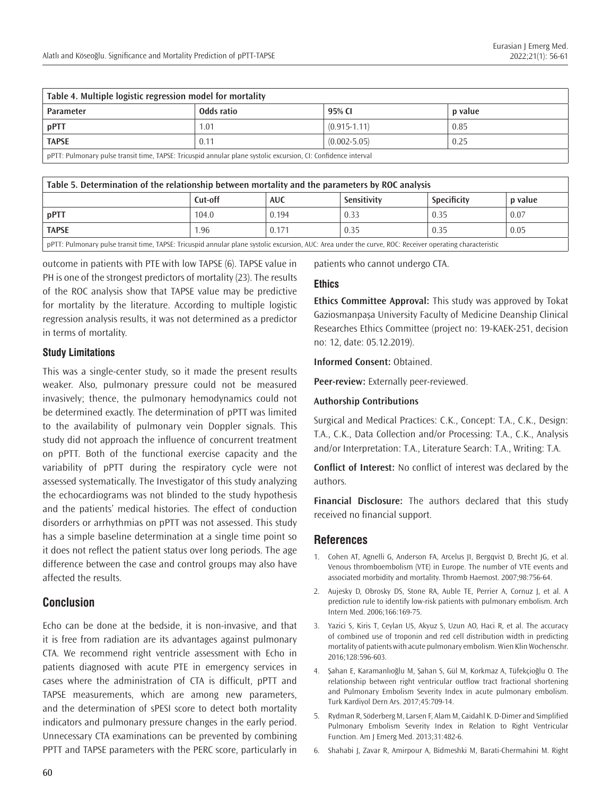| Table 4. Multiple logistic regression model for mortality                                                      |            |                  |         |  |
|----------------------------------------------------------------------------------------------------------------|------------|------------------|---------|--|
| <b>Parameter</b>                                                                                               | Odds ratio | 95% CI           | p value |  |
| pPTT                                                                                                           | 1.01       | $(0.915 - 1.11)$ | 0.85    |  |
| <b>TAPSE</b>                                                                                                   | 0.11       | $(0.002 - 5.05)$ | 0.25    |  |
| pPTT: Pulmonary pulse transit time, TAPSE: Tricuspid annular plane systolic excursion, CI: Confidence interval |            |                  |         |  |

| Table 5. Determination of the relationship between mortality and the parameters by ROC analysis                                                        |         |            |             |             |         |
|--------------------------------------------------------------------------------------------------------------------------------------------------------|---------|------------|-------------|-------------|---------|
|                                                                                                                                                        | Cut-off | <b>AUC</b> | Sensitivity | Specificity | p value |
| $ $ pPTT                                                                                                                                               | 104.0   | 0.194      | 0.33        | 0.35        | 0.07    |
| <b>TAPSE</b>                                                                                                                                           | 1.96    | 0.171      | 0.35        | 0.35        | 0.05    |
| ppTT: Bulmonary pulse transit time. TADCE: Trisuspid appular plane systelic everysion. AUC: Area under the sume DOC: Beseiver eperating characteristic |         |            |             |             |         |

pPTT: Pulmonary pulse transit time, TAPSE: Tricuspid annular plane systolic excursion, AUC: Area under the curve, ROC: Receiver operating characteristic

outcome in patients with PTE with low TAPSE (6). TAPSE value in PH is one of the strongest predictors of mortality (23). The results of the ROC analysis show that TAPSE value may be predictive for mortality by the literature. According to multiple logistic regression analysis results, it was not determined as a predictor in terms of mortality.

#### **Study Limitations**

This was a single-center study, so it made the present results weaker. Also, pulmonary pressure could not be measured invasively; thence, the pulmonary hemodynamics could not be determined exactly. The determination of pPTT was limited to the availability of pulmonary vein Doppler signals. This study did not approach the influence of concurrent treatment on pPTT. Both of the functional exercise capacity and the variability of pPTT during the respiratory cycle were not assessed systematically. The Investigator of this study analyzing the echocardiograms was not blinded to the study hypothesis and the patients' medical histories. The effect of conduction disorders or arrhythmias on pPTT was not assessed. This study has a simple baseline determination at a single time point so it does not reflect the patient status over long periods. The age difference between the case and control groups may also have affected the results.

# **Conclusion**

Echo can be done at the bedside, it is non-invasive, and that it is free from radiation are its advantages against pulmonary CTA. We recommend right ventricle assessment with Echo in patients diagnosed with acute PTE in emergency services in cases where the administration of CTA is difficult, pPTT and TAPSE measurements, which are among new parameters, and the determination of sPESI score to detect both mortality indicators and pulmonary pressure changes in the early period. Unnecessary CTA examinations can be prevented by combining PPTT and TAPSE parameters with the PERC score, particularly in

patients who cannot undergo CTA.

#### **Ethics**

**Ethics Committee Approval:** This study was approved by Tokat Gaziosmanpaşa University Faculty of Medicine Deanship Clinical Researches Ethics Committee (project no: 19-KAEK-251, decision no: 12, date: 05.12.2019).

#### **Informed Consent:** Obtained.

**Peer-review:** Externally peer-reviewed.

#### **Authorship Contributions**

Surgical and Medical Practices: C.K., Concept: T.A., C.K., Design: T.A., C.K., Data Collection and/or Processing: T.A., C.K., Analysis and/or Interpretation: T.A., Literature Search: T.A., Writing: T.A.

**Conflict of Interest:** No conflict of interest was declared by the authors.

**Financial Disclosure:** The authors declared that this study received no financial support.

# **References**

- 1. Cohen AT, Agnelli G, Anderson FA, Arcelus JI, Bergqvist D, Brecht JG, et al. Venous thromboembolism (VTE) in Europe. The number of VTE events and associated morbidity and mortality. Thromb Haemost. 2007;98:756-64.
- 2. Aujesky D, Obrosky DS, Stone RA, Auble TE, Perrier A, Cornuz J, et al. A prediction rule to identify low-risk patients with pulmonary embolism. Arch Intern Med. 2006;166:169-75.
- 3. Yazici S, Kiris T, Ceylan US, Akyuz S, Uzun AO, Haci R, et al. The accuracy of combined use of troponin and red cell distribution width in predicting mortality of patients with acute pulmonary embolism. Wien Klin Wochenschr. 2016;128:596-603.
- 4. Şahan E, Karamanlıoğlu M, Şahan S, Gül M, Korkmaz A, Tüfekçioğlu O. The relationship between right ventricular outflow tract fractional shortening and Pulmonary Embolism Severity Index in acute pulmonary embolism. Turk Kardiyol Dern Ars. 2017;45:709-14.
- 5. Rydman R, Söderberg M, Larsen F, Alam M, Caidahl K. D-Dimer and Simplified Pulmonary Embolism Severity Index in Relation to Right Ventricular Function. Am J Emerg Med. 2013;31:482-6.
- 6. Shahabi J, Zavar R, Amirpour A, Bidmeshki M, Barati-Chermahini M. Right